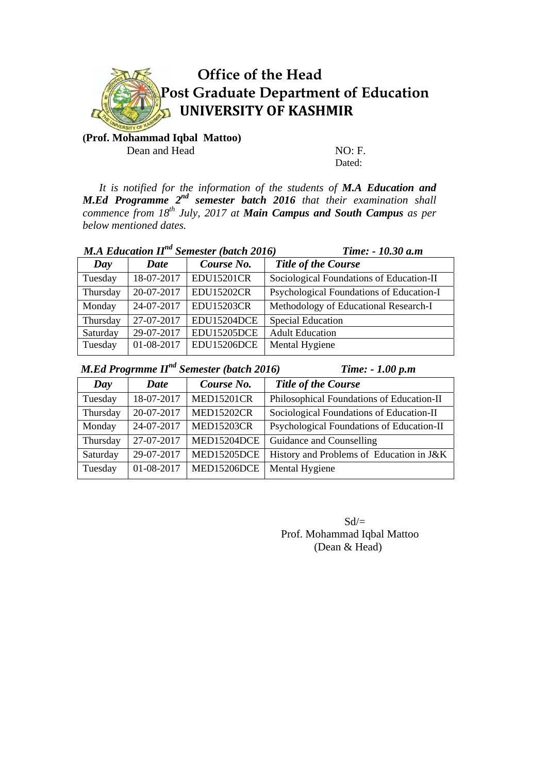

# **Office of the Head Post Graduate Department of Education UNIVERSITY OF KASHMIR**

**(Prof. Mohammad Iqbal Mattoo)**  Dean and Head NO: F.

Dated:

 *It is notified for the information of the students of M.A Education and M.Ed Programme 2nd semester batch 2016 that their examination shall commence from 18th July, 2017 at Main Campus and South Campus as per below mentioned dates.* 

| <b>M.A Education II<sup>nd</sup> Semester (batch 2016)</b> |             |                    | Time: - 10.30 a.m                        |
|------------------------------------------------------------|-------------|--------------------|------------------------------------------|
| Day                                                        | <b>Date</b> | Course No.         | <b>Title of the Course</b>               |
| Tuesday                                                    | 18-07-2017  | <b>EDU15201CR</b>  | Sociological Foundations of Education-II |
| Thursday                                                   | 20-07-2017  | <b>EDU15202CR</b>  | Psychological Foundations of Education-I |
| Monday                                                     | 24-07-2017  | <b>EDU15203CR</b>  | Methodology of Educational Research-I    |
| Thursday                                                   | 27-07-2017  | EDU15204DCE        | Special Education                        |
| Saturday                                                   | 29-07-2017  | <b>EDU15205DCE</b> | <b>Adult Education</b>                   |
| Tuesday                                                    | 01-08-2017  | EDU15206DCE        | Mental Hygiene                           |

*M.Ed Progrmme II<sup>nd</sup> Semester (batch 2016) Time: - 1.00 p.m* 

| Day      | Date       | Course No.         | <b>Title of the Course</b>                |
|----------|------------|--------------------|-------------------------------------------|
| Tuesday  | 18-07-2017 | <b>MED15201CR</b>  | Philosophical Foundations of Education-II |
| Thursday | 20-07-2017 | <b>MED15202CR</b>  | Sociological Foundations of Education-II  |
| Monday   | 24-07-2017 | <b>MED15203CR</b>  | Psychological Foundations of Education-II |
| Thursday | 27-07-2017 | MED15204DCE        | Guidance and Counselling                  |
| Saturday | 29-07-2017 | <b>MED15205DCE</b> | History and Problems of Education in J&K  |
| Tuesday  | 01-08-2017 | MED15206DCE        | Mental Hygiene                            |

 $Sd/=$ Prof. Mohammad Iqbal Mattoo (Dean & Head)